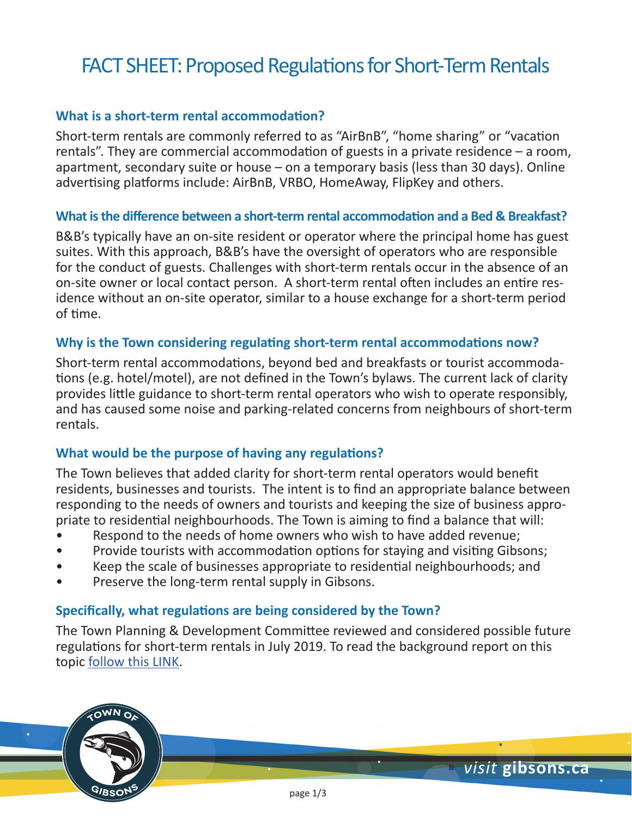# FACT SHEET: Proposed Regulations for Short-Term Rentals

### **What is a short-term rental accommodation?**

Short-term rentals are commonly referred to as "AirBnB", "home sharing" or "vacation rentals". They are commercial accommodation of guests in a private residence – a room, apartment, secondary suite or house – on a temporary basis (less than 30 days). Online advertising platforms include: AirBnB, VRBO, HomeAway, FlipKey and others.

### **What is the difference between a short-term rental accommodation and a Bed & Breakfast?**

B&B's typically have an on-site resident or operator where the principal home has guest suites. With this approach, B&B's have the oversight of operators who are responsible for the conduct of guests. Challenges with short-term rentals occur in the absence of an on-site owner or local contact person. A short-term rental often includes an entire residence without an on-site operator, similar to a house exchange for a short-term period of time.

### **Why is the Town considering regulating short-term rental accommodations now?**

Short-term rental accommodations, beyond bed and breakfasts or tourist accommodations (e.g. hotel/motel), are not defined in the Town's bylaws. The current lack of clarity provides little guidance to short-term rental operators who wish to operate responsibly, and has caused some noise and parking-related concerns from neighbours of short-term rentals.

### **What would be the purpose of having any regulations?**

The Town believes that added clarity for short-term rental operators would benefit residents, businesses and tourists. The intent is to find an appropriate balance between responding to the needs of owners and tourists and keeping the size of business appropriate to residential neighbourhoods. The Town is aiming to find a balance that will:

- Respond to the needs of home owners who wish to have added revenue;
- Provide tourists with accommodation options for staying and visiting Gibsons;
- Keep the scale of businesses appropriate to residential neighbourhoods; and
- Preserve the long-term rental supply in Gibsons.

 $\sim$ MN $\sim$ 

GIBSO'

### **Specifically, what regulations are being considered by the Town?**

The Town Planning & Development Committee reviewed and considered possible future regulations for short-term rentals in July 2019. To read the background report on this topic [follow this LINK](https://gibsons.civicweb.net/document/67872/2019-July-23%20Short%20Term%20Rentals%20Staff%20Report%20to%20PD.pdf?handle=6B6AB50893E7402EBC0CB19142161588).

*visit* **gibsons.ca**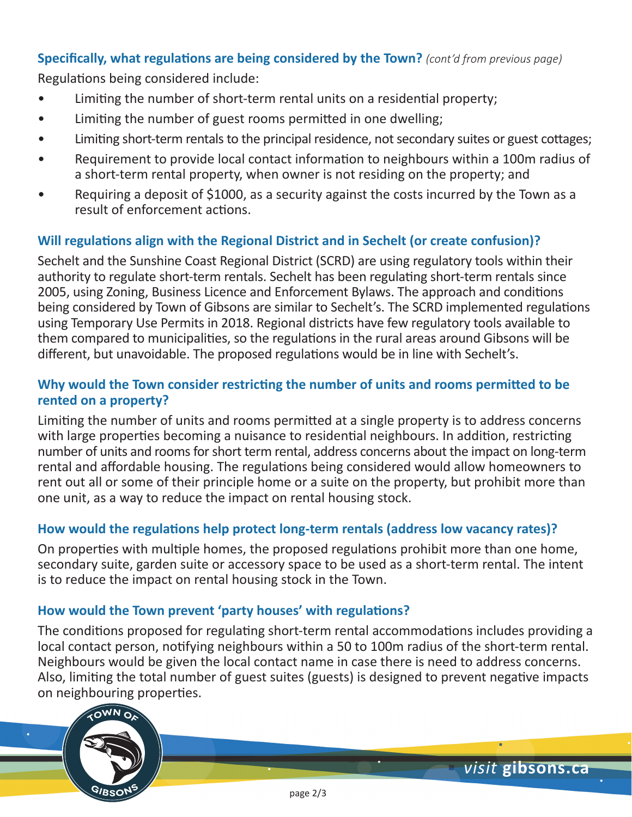# **Specifically, what regulations are being considered by the Town?** *(cont'd from previous page)*

Regulations being considered include:

- Limiting the number of short-term rental units on a residential property;
- Limiting the number of guest rooms permitted in one dwelling;
- Limiting short-term rentals to the principal residence, not secondary suites or guest cottages;
- Requirement to provide local contact information to neighbours within a 100m radius of a short-term rental property, when owner is not residing on the property; and
- Requiring a deposit of \$1000, as a security against the costs incurred by the Town as a result of enforcement actions.

# **Will regulations align with the Regional District and in Sechelt (or create confusion)?**

Sechelt and the Sunshine Coast Regional District (SCRD) are using regulatory tools within their authority to regulate short-term rentals. Sechelt has been regulating short-term rentals since 2005, using Zoning, Business Licence and Enforcement Bylaws. The approach and conditions being considered by Town of Gibsons are similar to Sechelt's. The SCRD implemented regulations using Temporary Use Permits in 2018. Regional districts have few regulatory tools available to them compared to municipalities, so the regulations in the rural areas around Gibsons will be different, but unavoidable. The proposed regulations would be in line with Sechelt's.

### **Why would the Town consider restricting the number of units and rooms permitted to be rented on a property?**

Limiting the number of units and rooms permitted at a single property is to address concerns with large properties becoming a nuisance to residential neighbours. In addition, restricting number of units and rooms for short term rental, address concerns about the impact on long-term rental and affordable housing. The regulations being considered would allow homeowners to rent out all or some of their principle home or a suite on the property, but prohibit more than one unit, as a way to reduce the impact on rental housing stock.

## **How would the regulations help protect long-term rentals (address low vacancy rates)?**

On properties with multiple homes, the proposed regulations prohibit more than one home, secondary suite, garden suite or accessory space to be used as a short-term rental. The intent is to reduce the impact on rental housing stock in the Town.

### **How would the Town prevent 'party houses' with regulations?**

The conditions proposed for regulating short-term rental accommodations includes providing a local contact person, notifying neighbours within a 50 to 100m radius of the short-term rental. Neighbours would be given the local contact name in case there is need to address concerns. Also, limiting the total number of guest suites (guests) is designed to prevent negative impacts on neighbouring properties.